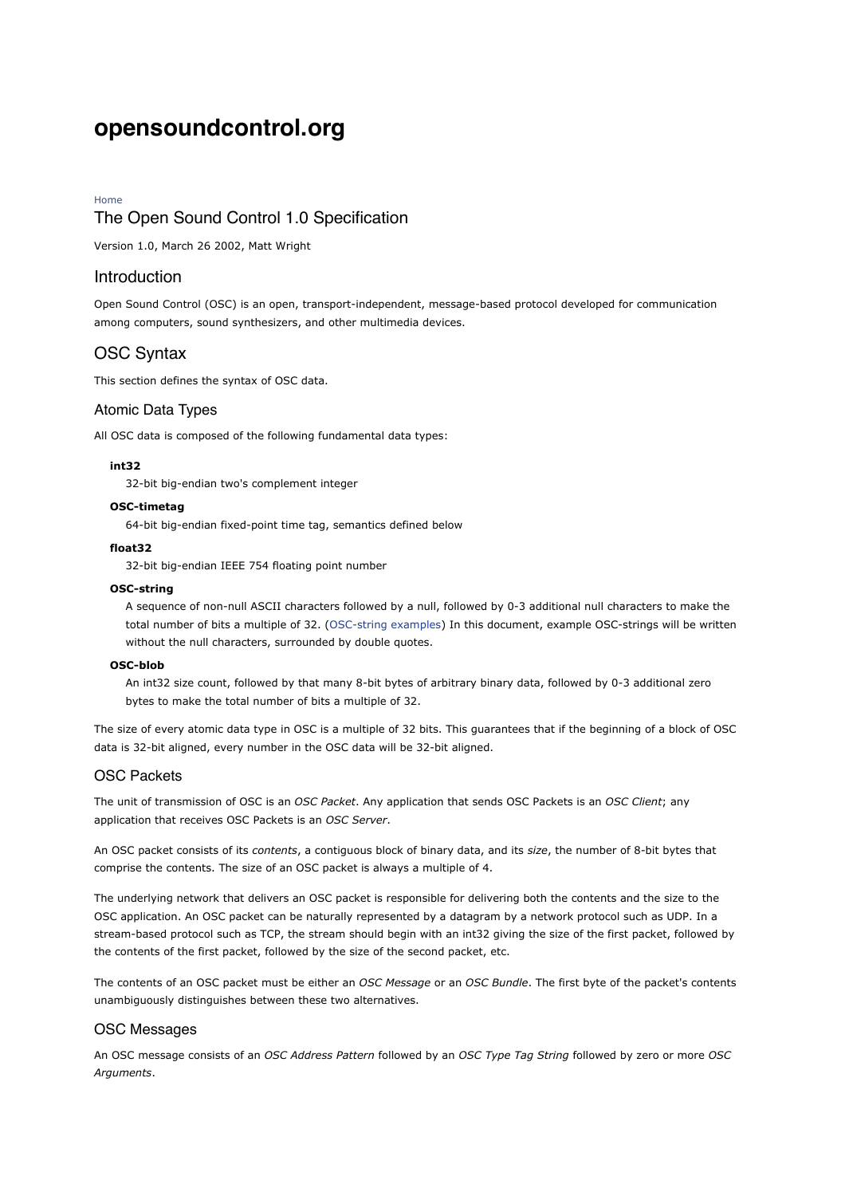# **opensoundcontrol.org**

#### Home

# The Open Sound Control 1.0 Specification

Version 1.0, March 26 2002, Matt Wright

## Introduction

Open Sound Control (OSC) is an open, transport-independent, message-based protocol developed for communication among computers, sound synthesizers, and other multimedia devices.

## OSC Syntax

This section defines the syntax of OSC data.

#### Atomic Data Types

All OSC data is composed of the following fundamental data types:

#### **int32**

32-bit big-endian two's complement integer

#### **OSC-timetag**

64-bit big-endian fixed-point time tag, semantics defined below

#### **float32**

32-bit big-endian IEEE 754 floating point number

#### **OSC-string**

A sequence of non-null ASCII characters followed by a null, followed by 0-3 additional null characters to make the total number of bits a multiple of 32. (OSC-string examples) In this document, example OSC-strings will be written without the null characters, surrounded by double quotes.

#### **OSC-blob**

An int32 size count, followed by that many 8-bit bytes of arbitrary binary data, followed by 0-3 additional zero bytes to make the total number of bits a multiple of 32.

The size of every atomic data type in OSC is a multiple of 32 bits. This guarantees that if the beginning of a block of OSC data is 32-bit aligned, every number in the OSC data will be 32-bit aligned.

## OSC Packets

The unit of transmission of OSC is an *OSC Packet*. Any application that sends OSC Packets is an *OSC Client*; any application that receives OSC Packets is an *OSC Server*.

An OSC packet consists of its *contents*, a contiguous block of binary data, and its *size*, the number of 8-bit bytes that comprise the contents. The size of an OSC packet is always a multiple of 4.

The underlying network that delivers an OSC packet is responsible for delivering both the contents and the size to the OSC application. An OSC packet can be naturally represented by a datagram by a network protocol such as UDP. In a stream-based protocol such as TCP, the stream should begin with an int32 giving the size of the first packet, followed by the contents of the first packet, followed by the size of the second packet, etc.

The contents of an OSC packet must be either an *OSC Message* or an *OSC Bundle*. The first byte of the packet's contents unambiguously distinguishes between these two alternatives.

#### OSC Messages

An OSC message consists of an *OSC Address Pattern* followed by an *OSC Type Tag String* followed by zero or more *OSC Arguments*.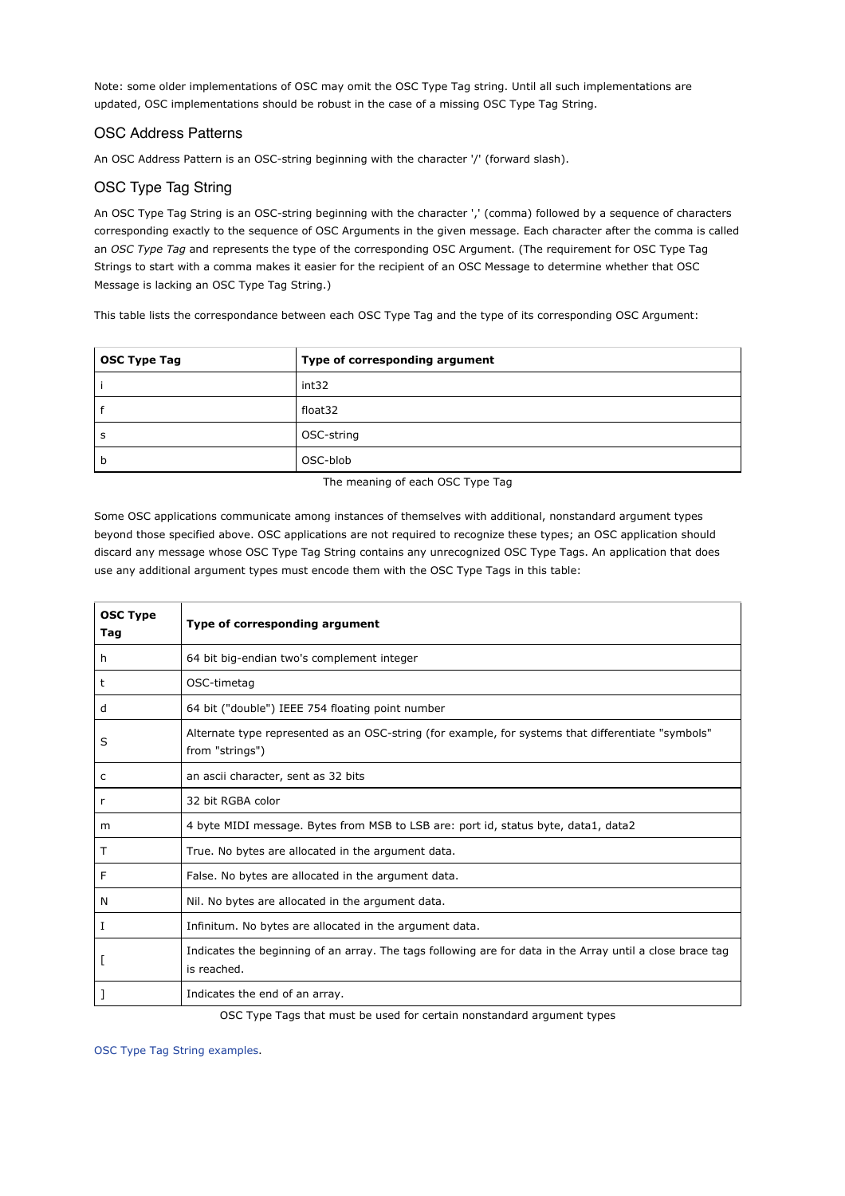Note: some older implementations of OSC may omit the OSC Type Tag string. Until all such implementations are updated, OSC implementations should be robust in the case of a missing OSC Type Tag String.

# OSC Address Patterns

An OSC Address Pattern is an OSC-string beginning with the character '/' (forward slash).

# OSC Type Tag String

An OSC Type Tag String is an OSC-string beginning with the character ',' (comma) followed by a sequence of characters corresponding exactly to the sequence of OSC Arguments in the given message. Each character after the comma is called an *OSC Type Tag* and represents the type of the corresponding OSC Argument. (The requirement for OSC Type Tag Strings to start with a comma makes it easier for the recipient of an OSC Message to determine whether that OSC Message is lacking an OSC Type Tag String.)

This table lists the correspondance between each OSC Type Tag and the type of its corresponding OSC Argument:

| OSC Type Tag | Type of corresponding argument |  |
|--------------|--------------------------------|--|
|              | int32                          |  |
|              | float32                        |  |
| s            | OSC-string                     |  |
| b            | OSC-blob                       |  |

The meaning of each OSC Type Tag

Some OSC applications communicate among instances of themselves with additional, nonstandard argument types beyond those specified above. OSC applications are not required to recognize these types; an OSC application should discard any message whose OSC Type Tag String contains any unrecognized OSC Type Tags. An application that does use any additional argument types must encode them with the OSC Type Tags in this table:

| <b>OSC Type</b><br>Tag | Type of corresponding argument                                                                                           |
|------------------------|--------------------------------------------------------------------------------------------------------------------------|
| h.                     | 64 bit big-endian two's complement integer                                                                               |
| t                      | OSC-timetag                                                                                                              |
| d                      | 64 bit ("double") IEEE 754 floating point number                                                                         |
| S                      | "Alternate type represented as an OSC-string (for example, for systems that differentiate "symbols"<br>from "strings")   |
| c                      | an ascii character, sent as 32 bits                                                                                      |
| r                      | 32 bit RGBA color                                                                                                        |
| m                      | 4 byte MIDI message. Bytes from MSB to LSB are: port id, status byte, data1, data2                                       |
| т                      | True. No bytes are allocated in the argument data.                                                                       |
| F                      | False. No bytes are allocated in the argument data.                                                                      |
| N                      | Nil. No bytes are allocated in the argument data.                                                                        |
| I                      | Infinitum. No bytes are allocated in the argument data.                                                                  |
|                        | Indicates the beginning of an array. The tags following are for data in the Array until a close brace tag<br>is reached. |
|                        | Indicates the end of an array.                                                                                           |

OSC Type Tags that must be used for certain nonstandard argument types

OSC Type Tag String examples.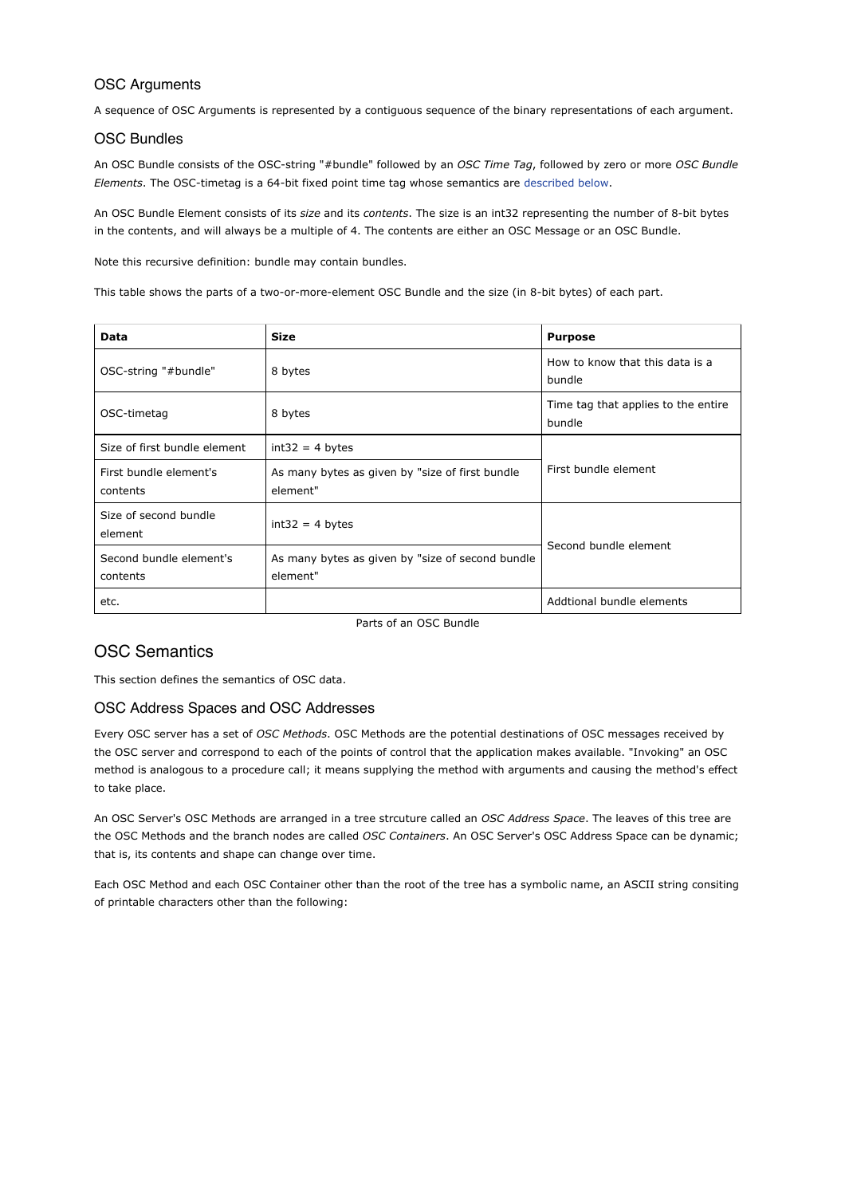## OSC Arguments

A sequence of OSC Arguments is represented by a contiguous sequence of the binary representations of each argument.

## OSC Bundles

An OSC Bundle consists of the OSC-string "#bundle" followed by an *OSC Time Tag*, followed by zero or more *OSC Bundle Elements*. The OSC-timetag is a 64-bit fixed point time tag whose semantics are described below.

An OSC Bundle Element consists of its *size* and its *contents*. The size is an int32 representing the number of 8-bit bytes in the contents, and will always be a multiple of 4. The contents are either an OSC Message or an OSC Bundle.

Note this recursive definition: bundle may contain bundles.

This table shows the parts of a two-or-more-element OSC Bundle and the size (in 8-bit bytes) of each part.

| Data                                | <b>Size</b>                                                  | <b>Purpose</b>                                |  |
|-------------------------------------|--------------------------------------------------------------|-----------------------------------------------|--|
| OSC-string "#bundle"                | 8 bytes                                                      | How to know that this data is a<br>bundle     |  |
| OSC-timetag                         | 8 bytes                                                      | Time tag that applies to the entire<br>bundle |  |
| Size of first bundle element        | $int32 = 4 bytes$                                            | First bundle element                          |  |
| First bundle element's<br>contents  | As many bytes as given by "size of first bundle<br>element"  |                                               |  |
| Size of second bundle<br>element    | $int32 = 4$ bytes                                            | Second bundle element                         |  |
| Second bundle element's<br>contents | As many bytes as given by "size of second bundle<br>element" |                                               |  |
| etc.                                |                                                              | Addtional bundle elements                     |  |

Parts of an OSC Bundle

# OSC Semantics

This section defines the semantics of OSC data.

## OSC Address Spaces and OSC Addresses

Every OSC server has a set of *OSC Methods*. OSC Methods are the potential destinations of OSC messages received by the OSC server and correspond to each of the points of control that the application makes available. "Invoking" an OSC method is analogous to a procedure call; it means supplying the method with arguments and causing the method's effect to take place.

An OSC Server's OSC Methods are arranged in a tree strcuture called an *OSC Address Space*. The leaves of this tree are the OSC Methods and the branch nodes are called *OSC Containers*. An OSC Server's OSC Address Space can be dynamic; that is, its contents and shape can change over time.

Each OSC Method and each OSC Container other than the root of the tree has a symbolic name, an ASCII string consiting of printable characters other than the following: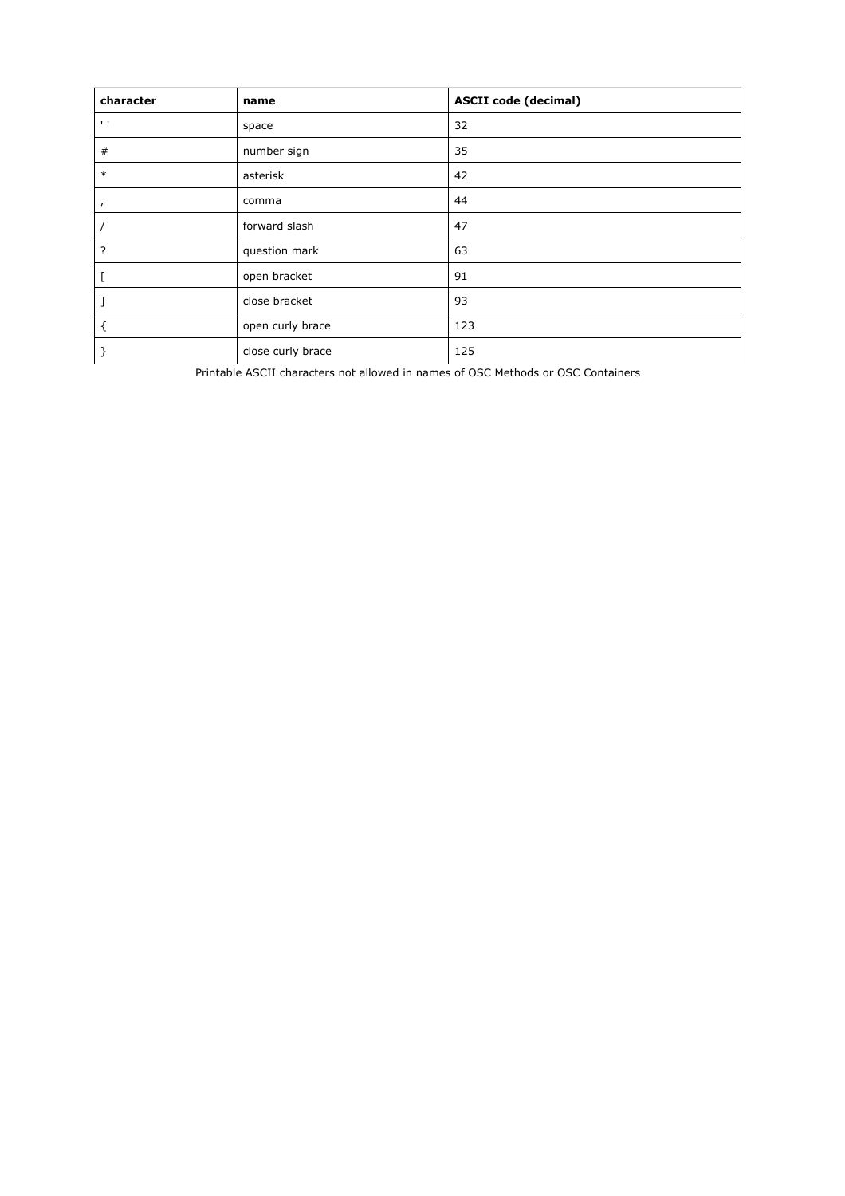| character                 | name              | <b>ASCII code (decimal)</b> |
|---------------------------|-------------------|-----------------------------|
| $\mathbf{I}=\mathbf{I}$ . | space             | 32                          |
| #                         | number sign       | 35                          |
| $\ast$                    | asterisk          | 42                          |
| $\mathbf{r}$              | comma             | 44                          |
|                           | forward slash     | 47                          |
| ?                         | question mark     | 63                          |
|                           | open bracket      | 91                          |
|                           | close bracket     | 93                          |
|                           | open curly brace  | 123                         |
|                           | close curly brace | 125                         |

Printable ASCII characters not allowed in names of OSC Methods or OSC Containers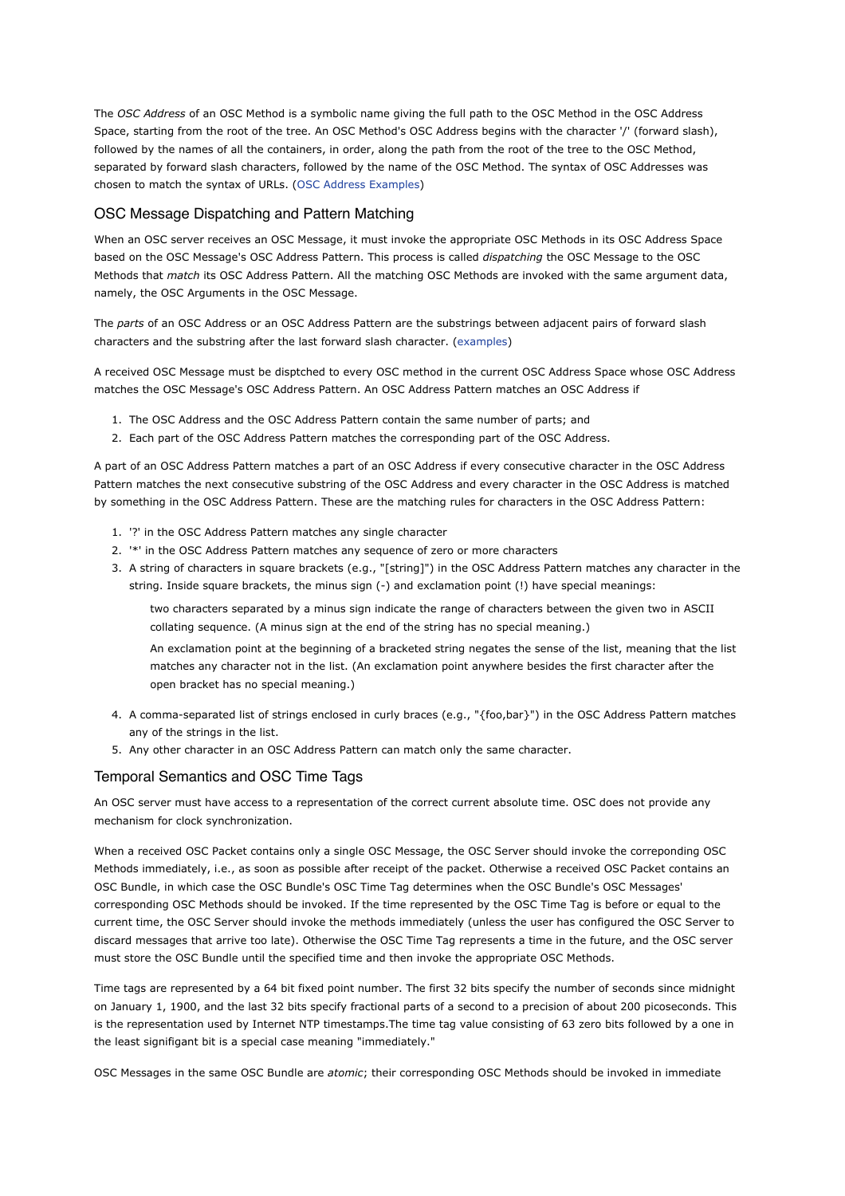The *OSC Address* of an OSC Method is a symbolic name giving the full path to the OSC Method in the OSC Address Space, starting from the root of the tree. An OSC Method's OSC Address begins with the character '/' (forward slash), followed by the names of all the containers, in order, along the path from the root of the tree to the OSC Method, separated by forward slash characters, followed by the name of the OSC Method. The syntax of OSC Addresses was chosen to match the syntax of URLs. (OSC Address Examples)

#### OSC Message Dispatching and Pattern Matching

When an OSC server receives an OSC Message, it must invoke the appropriate OSC Methods in its OSC Address Space based on the OSC Message's OSC Address Pattern. This process is called *dispatching* the OSC Message to the OSC Methods that *match* its OSC Address Pattern. All the matching OSC Methods are invoked with the same argument data, namely, the OSC Arguments in the OSC Message.

The *parts* of an OSC Address or an OSC Address Pattern are the substrings between adjacent pairs of forward slash characters and the substring after the last forward slash character. (examples)

A received OSC Message must be disptched to every OSC method in the current OSC Address Space whose OSC Address matches the OSC Message's OSC Address Pattern. An OSC Address Pattern matches an OSC Address if

- 1. The OSC Address and the OSC Address Pattern contain the same number of parts; and
- 2. Each part of the OSC Address Pattern matches the corresponding part of the OSC Address.

A part of an OSC Address Pattern matches a part of an OSC Address if every consecutive character in the OSC Address Pattern matches the next consecutive substring of the OSC Address and every character in the OSC Address is matched by something in the OSC Address Pattern. These are the matching rules for characters in the OSC Address Pattern:

- 1. '?' in the OSC Address Pattern matches any single character
- 2. '\*' in the OSC Address Pattern matches any sequence of zero or more characters
- 3. A string of characters in square brackets (e.g., "[string]") in the OSC Address Pattern matches any character in the string. Inside square brackets, the minus sign (-) and exclamation point (!) have special meanings:

two characters separated by a minus sign indicate the range of characters between the given two in ASCII collating sequence. (A minus sign at the end of the string has no special meaning.)

An exclamation point at the beginning of a bracketed string negates the sense of the list, meaning that the list matches any character not in the list. (An exclamation point anywhere besides the first character after the open bracket has no special meaning.)

- A comma-separated list of strings enclosed in curly braces (e.g., "{foo,bar}") in the OSC Address Pattern matches 4. any of the strings in the list.
- 5. Any other character in an OSC Address Pattern can match only the same character.

## Temporal Semantics and OSC Time Tags

An OSC server must have access to a representation of the correct current absolute time. OSC does not provide any mechanism for clock synchronization.

When a received OSC Packet contains only a single OSC Message, the OSC Server should invoke the correponding OSC Methods immediately, i.e., as soon as possible after receipt of the packet. Otherwise a received OSC Packet contains an OSC Bundle, in which case the OSC Bundle's OSC Time Tag determines when the OSC Bundle's OSC Messages' corresponding OSC Methods should be invoked. If the time represented by the OSC Time Tag is before or equal to the current time, the OSC Server should invoke the methods immediately (unless the user has configured the OSC Server to discard messages that arrive too late). Otherwise the OSC Time Tag represents a time in the future, and the OSC server must store the OSC Bundle until the specified time and then invoke the appropriate OSC Methods.

Time tags are represented by a 64 bit fixed point number. The first 32 bits specify the number of seconds since midnight on January 1, 1900, and the last 32 bits specify fractional parts of a second to a precision of about 200 picoseconds. This is the representation used by Internet NTP timestamps.The time tag value consisting of 63 zero bits followed by a one in the least signifigant bit is a special case meaning "immediately."

OSC Messages in the same OSC Bundle are *atomic*; their corresponding OSC Methods should be invoked in immediate